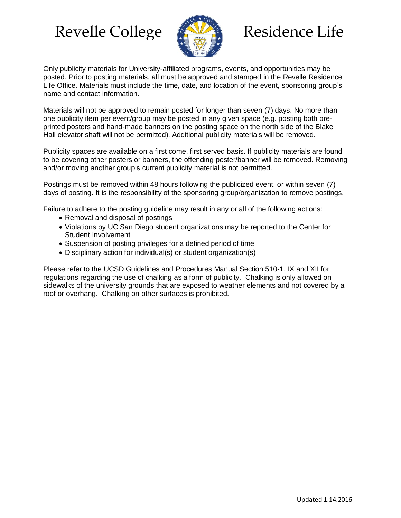# Revelle College (AMA) Residence Life



Only publicity materials for University-affiliated programs, events, and opportunities may be posted. Prior to posting materials, all must be approved and stamped in the Revelle Residence Life Office. Materials must include the time, date, and location of the event, sponsoring group's name and contact information.

Materials will not be approved to remain posted for longer than seven (7) days. No more than one publicity item per event/group may be posted in any given space (e.g. posting both preprinted posters and hand-made banners on the posting space on the north side of the Blake Hall elevator shaft will not be permitted). Additional publicity materials will be removed.

Publicity spaces are available on a first come, first served basis. If publicity materials are found to be covering other posters or banners, the offending poster/banner will be removed. Removing and/or moving another group's current publicity material is not permitted.

Postings must be removed within 48 hours following the publicized event, or within seven (7) days of posting. It is the responsibility of the sponsoring group/organization to remove postings.

Failure to adhere to the posting guideline may result in any or all of the following actions:

- Removal and disposal of postings
- Violations by UC San Diego student organizations may be reported to the Center for Student Involvement
- Suspension of posting privileges for a defined period of time
- Disciplinary action for individual(s) or student organization(s)

Please refer to the UCSD Guidelines and Procedures Manual Section 510-1, IX and XII for regulations regarding the use of chalking as a form of publicity. Chalking is only allowed on sidewalks of the university grounds that are exposed to weather elements and not covered by a roof or overhang. Chalking on other surfaces is prohibited.